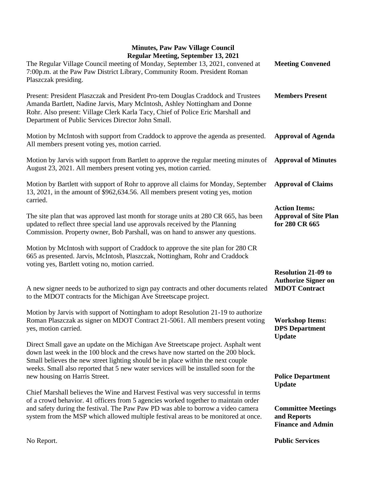## **Minutes, Paw Paw Village Council Regular Meeting, September 13, 2021**

| Regular Meeting, September 13, 2021<br>The Regular Village Council meeting of Monday, September 13, 2021, convened at<br>7:00p.m. at the Paw Paw District Library, Community Room. President Roman<br>Plaszczak presiding.                                                                                                                       | <b>Meeting Convened</b>                                                          |
|--------------------------------------------------------------------------------------------------------------------------------------------------------------------------------------------------------------------------------------------------------------------------------------------------------------------------------------------------|----------------------------------------------------------------------------------|
| Present: President Plaszczak and President Pro-tem Douglas Craddock and Trustees<br>Amanda Bartlett, Nadine Jarvis, Mary McIntosh, Ashley Nottingham and Donne<br>Rohr. Also present: Village Clerk Karla Tacy, Chief of Police Eric Marshall and<br>Department of Public Services Director John Small.                                          | <b>Members Present</b>                                                           |
| Motion by McIntosh with support from Craddock to approve the agenda as presented.<br>All members present voting yes, motion carried.                                                                                                                                                                                                             | <b>Approval of Agenda</b>                                                        |
| Motion by Jarvis with support from Bartlett to approve the regular meeting minutes of<br>August 23, 2021. All members present voting yes, motion carried.                                                                                                                                                                                        | <b>Approval of Minutes</b>                                                       |
| Motion by Bartlett with support of Rohr to approve all claims for Monday, September<br>13, 2021, in the amount of \$962,634.56. All members present voting yes, motion<br>carried.                                                                                                                                                               | <b>Approval of Claims</b>                                                        |
| The site plan that was approved last month for storage units at 280 CR 665, has been<br>updated to reflect three special land use approvals received by the Planning<br>Commission. Property owner, Bob Parshall, was on hand to answer any questions.                                                                                           | <b>Action Items:</b><br><b>Approval of Site Plan</b><br>for 280 CR 665           |
| Motion by McIntosh with support of Craddock to approve the site plan for 280 CR<br>665 as presented. Jarvis, McIntosh, Plaszczak, Nottingham, Rohr and Craddock<br>voting yes, Bartlett voting no, motion carried.                                                                                                                               |                                                                                  |
| A new signer needs to be authorized to sign pay contracts and other documents related<br>to the MDOT contracts for the Michigan Ave Streetscape project.                                                                                                                                                                                         | <b>Resolution 21-09 to</b><br><b>Authorize Signer on</b><br><b>MDOT</b> Contract |
| Motion by Jarvis with support of Nottingham to adopt Resolution 21-19 to authorize<br>Roman Plaszczak as signer on MDOT Contract 21-5061. All members present voting<br>yes, motion carried.                                                                                                                                                     | <b>Workshop Items:</b><br><b>DPS</b> Department<br><b>Update</b>                 |
| Direct Small gave an update on the Michigan Ave Streetscape project. Asphalt went<br>down last week in the 100 block and the crews have now started on the 200 block.<br>Small believes the new street lighting should be in place within the next couple<br>weeks. Small also reported that 5 new water services will be installed soon for the |                                                                                  |
| new housing on Harris Street.                                                                                                                                                                                                                                                                                                                    | <b>Police Department</b><br><b>Update</b>                                        |
| Chief Marshall believes the Wine and Harvest Festival was very successful in terms<br>of a crowd behavior. 41 officers from 5 agencies worked together to maintain order                                                                                                                                                                         |                                                                                  |
| and safety during the festival. The Paw Paw PD was able to borrow a video camera<br>system from the MSP which allowed multiple festival areas to be monitored at once.                                                                                                                                                                           | <b>Committee Meetings</b><br>and Reports<br><b>Finance and Admin</b>             |

**Public Services**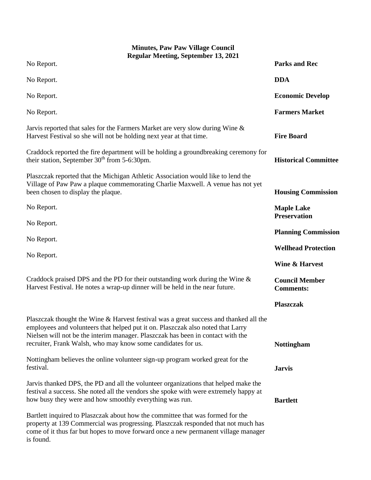| <b>Minutes, Paw Paw Village Council</b><br><b>Regular Meeting, September 13, 2021</b>                                                                                                                                                                                                                                       |                                           |
|-----------------------------------------------------------------------------------------------------------------------------------------------------------------------------------------------------------------------------------------------------------------------------------------------------------------------------|-------------------------------------------|
| No Report.                                                                                                                                                                                                                                                                                                                  | <b>Parks and Rec</b>                      |
| No Report.                                                                                                                                                                                                                                                                                                                  | <b>DDA</b>                                |
| No Report.                                                                                                                                                                                                                                                                                                                  | <b>Economic Develop</b>                   |
| No Report.                                                                                                                                                                                                                                                                                                                  | <b>Farmers Market</b>                     |
| Jarvis reported that sales for the Farmers Market are very slow during Wine &<br>Harvest Festival so she will not be holding next year at that time.                                                                                                                                                                        | <b>Fire Board</b>                         |
| Craddock reported the fire department will be holding a groundbreaking ceremony for<br>their station, September $30th$ from 5-6:30pm.                                                                                                                                                                                       | <b>Historical Committee</b>               |
| Plaszczak reported that the Michigan Athletic Association would like to lend the<br>Village of Paw Paw a plaque commemorating Charlie Maxwell. A venue has not yet<br>been chosen to display the plaque.                                                                                                                    | <b>Housing Commission</b>                 |
| No Report.                                                                                                                                                                                                                                                                                                                  | <b>Maple Lake</b><br><b>Preservation</b>  |
| No Report.                                                                                                                                                                                                                                                                                                                  | <b>Planning Commission</b>                |
| No Report.                                                                                                                                                                                                                                                                                                                  | <b>Wellhead Protection</b>                |
| No Report.                                                                                                                                                                                                                                                                                                                  |                                           |
|                                                                                                                                                                                                                                                                                                                             | <b>Wine &amp; Harvest</b>                 |
| Craddock praised DPS and the PD for their outstanding work during the Wine $\&$<br>Harvest Festival. He notes a wrap-up dinner will be held in the near future.                                                                                                                                                             | <b>Council Member</b><br><b>Comments:</b> |
|                                                                                                                                                                                                                                                                                                                             | <b>Plaszczak</b>                          |
| Plaszczak thought the Wine & Harvest festival was a great success and thanked all the<br>employees and volunteers that helped put it on. Plaszczak also noted that Larry<br>Nielsen will not be the interim manager. Plaszczak has been in contact with the<br>recruiter, Frank Walsh, who may know some candidates for us. | <b>Nottingham</b>                         |
| Nottingham believes the online volunteer sign-up program worked great for the<br>festival.                                                                                                                                                                                                                                  | <b>Jarvis</b>                             |
| Jarvis thanked DPS, the PD and all the volunteer organizations that helped make the<br>festival a success. She noted all the vendors she spoke with were extremely happy at<br>how busy they were and how smoothly everything was run.                                                                                      | <b>Bartlett</b>                           |
| Bartlett inquired to Plaszczak about how the committee that was formed for the<br>property at 139 Commercial was progressing. Plaszczak responded that not much has<br>come of it thus far but hopes to move forward once a new permanent village manager<br>is found.                                                      |                                           |